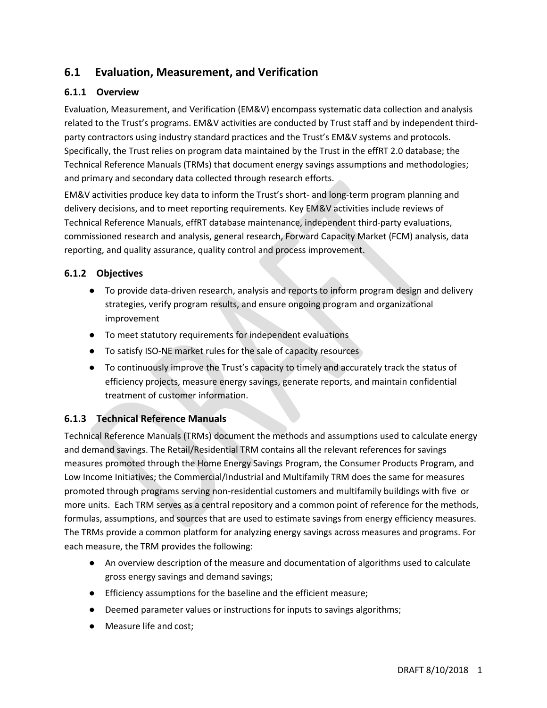# **6.1 Evaluation, Measurement, and Verification**

## **6.1.1 Overview**

Evaluation, Measurement, and Verification (EM&V) encompass systematic data collection and analysis related to the Trust's programs. EM&V activities are conducted by Trust staff and by independent thirdparty contractors using industry standard practices and the Trust's EM&V systems and protocols. Specifically, the Trust relies on program data maintained by the Trust in the effRT 2.0 database; the Technical Reference Manuals (TRMs) that document energy savings assumptions and methodologies; and primary and secondary data collected through research efforts.

EM&V activities produce key data to inform the Trust's short- and long-term program planning and delivery decisions, and to meet reporting requirements. Key EM&V activities include reviews of Technical Reference Manuals, effRT database maintenance, independent third-party evaluations, commissioned research and analysis, general research, Forward Capacity Market (FCM) analysis, data reporting, and quality assurance, quality control and process improvement.

## **6.1.2 Objectives**

- To provide data-driven research, analysis and reports to inform program design and delivery strategies, verify program results, and ensure ongoing program and organizational improvement
- To meet statutory requirements for independent evaluations
- To satisfy ISO-NE market rules for the sale of capacity resources
- To continuously improve the Trust's capacity to timely and accurately track the status of efficiency projects, measure energy savings, generate reports, and maintain confidential treatment of customer information.

## **6.1.3 Technical Reference Manuals**

Technical Reference Manuals (TRMs) document the methods and assumptions used to calculate energy and demand savings. The Retail/Residential TRM contains all the relevant references for savings measures promoted through the Home Energy Savings Program, the Consumer Products Program, and Low Income Initiatives; the Commercial/Industrial and Multifamily TRM does the same for measures promoted through programs serving non-residential customers and multifamily buildings with five or more units. Each TRM serves as a central repository and a common point of reference for the methods, formulas, assumptions, and sources that are used to estimate savings from energy efficiency measures. The TRMs provide a common platform for analyzing energy savings across measures and programs. For each measure, the TRM provides the following:

- An overview description of the measure and documentation of algorithms used to calculate gross energy savings and demand savings;
- Efficiency assumptions for the baseline and the efficient measure;
- Deemed parameter values or instructions for inputs to savings algorithms;
- Measure life and cost;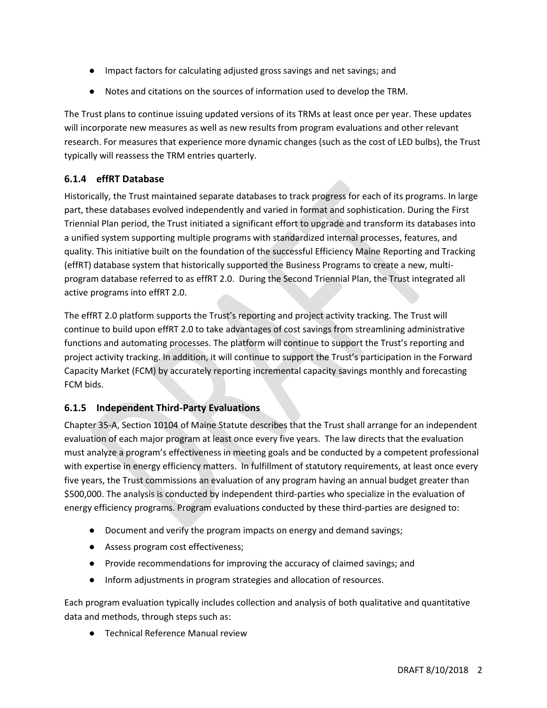- Impact factors for calculating adjusted gross savings and net savings; and
- Notes and citations on the sources of information used to develop the TRM.

The Trust plans to continue issuing updated versions of its TRMs at least once per year. These updates will incorporate new measures as well as new results from program evaluations and other relevant research. For measures that experience more dynamic changes (such as the cost of LED bulbs), the Trust typically will reassess the TRM entries quarterly.

## **6.1.4 effRT Database**

Historically, the Trust maintained separate databases to track progress for each of its programs. In large part, these databases evolved independently and varied in format and sophistication. During the First Triennial Plan period, the Trust initiated a significant effort to upgrade and transform its databases into a unified system supporting multiple programs with standardized internal processes, features, and quality. This initiative built on the foundation of the successful Efficiency Maine Reporting and Tracking (effRT) database system that historically supported the Business Programs to create a new, multiprogram database referred to as effRT 2.0. During the Second Triennial Plan, the Trust integrated all active programs into effRT 2.0.

The effRT 2.0 platform supports the Trust's reporting and project activity tracking. The Trust will continue to build upon effRT 2.0 to take advantages of cost savings from streamlining administrative functions and automating processes. The platform will continue to support the Trust's reporting and project activity tracking. In addition, it will continue to support the Trust's participation in the Forward Capacity Market (FCM) by accurately reporting incremental capacity savings monthly and forecasting FCM bids.

## **6.1.5 Independent Third-Party Evaluations**

Chapter 35-A, Section 10104 of Maine Statute describes that the Trust shall arrange for an independent evaluation of each major program at least once every five years. The law directs that the evaluation must analyze a program's effectiveness in meeting goals and be conducted by a competent professional with expertise in energy efficiency matters. In fulfillment of statutory requirements, at least once every five years, the Trust commissions an evaluation of any program having an annual budget greater than \$500,000. The analysis is conducted by independent third-parties who specialize in the evaluation of energy efficiency programs. Program evaluations conducted by these third-parties are designed to:

- Document and verify the program impacts on energy and demand savings;
- Assess program cost effectiveness;
- Provide recommendations for improving the accuracy of claimed savings; and
- Inform adjustments in program strategies and allocation of resources.

Each program evaluation typically includes collection and analysis of both qualitative and quantitative data and methods, through steps such as:

● Technical Reference Manual review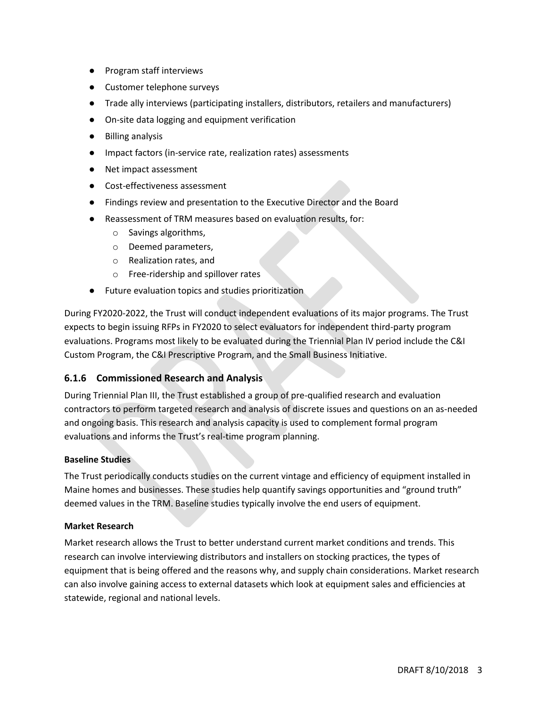- Program staff interviews
- Customer telephone surveys
- Trade ally interviews (participating installers, distributors, retailers and manufacturers)
- On-site data logging and equipment verification
- Billing analysis
- Impact factors (in-service rate, realization rates) assessments
- Net impact assessment
- Cost-effectiveness assessment
- Findings review and presentation to the Executive Director and the Board
- Reassessment of TRM measures based on evaluation results, for:
	- o Savings algorithms,
	- o Deemed parameters,
	- o Realization rates, and
	- o Free-ridership and spillover rates
- Future evaluation topics and studies prioritization

During FY2020-2022, the Trust will conduct independent evaluations of its major programs. The Trust expects to begin issuing RFPs in FY2020 to select evaluators for independent third-party program evaluations. Programs most likely to be evaluated during the Triennial Plan IV period include the C&I Custom Program, the C&I Prescriptive Program, and the Small Business Initiative.

### **6.1.6 Commissioned Research and Analysis**

During Triennial Plan III, the Trust established a group of pre-qualified research and evaluation contractors to perform targeted research and analysis of discrete issues and questions on an as-needed and ongoing basis. This research and analysis capacity is used to complement formal program evaluations and informs the Trust's real-time program planning.

#### **Baseline Studies**

The Trust periodically conducts studies on the current vintage and efficiency of equipment installed in Maine homes and businesses. These studies help quantify savings opportunities and "ground truth" deemed values in the TRM. Baseline studies typically involve the end users of equipment.

#### **Market Research**

Market research allows the Trust to better understand current market conditions and trends. This research can involve interviewing distributors and installers on stocking practices, the types of equipment that is being offered and the reasons why, and supply chain considerations. Market research can also involve gaining access to external datasets which look at equipment sales and efficiencies at statewide, regional and national levels.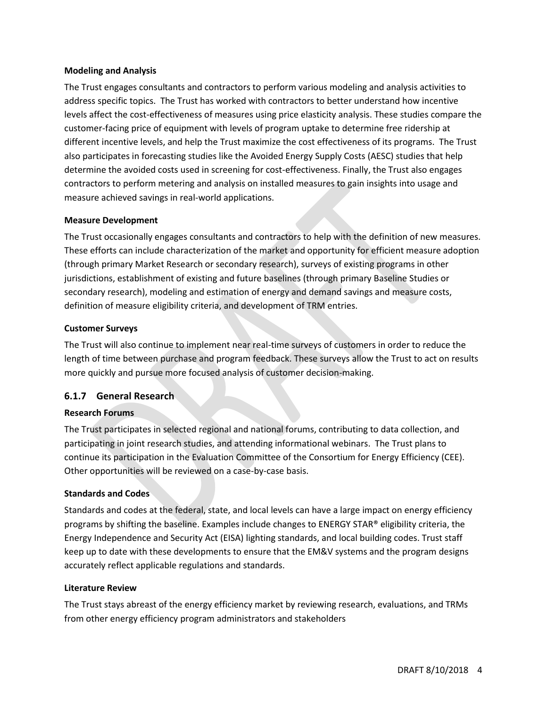#### **Modeling and Analysis**

The Trust engages consultants and contractors to perform various modeling and analysis activities to address specific topics. The Trust has worked with contractors to better understand how incentive levels affect the cost-effectiveness of measures using price elasticity analysis. These studies compare the customer-facing price of equipment with levels of program uptake to determine free ridership at different incentive levels, and help the Trust maximize the cost effectiveness of its programs. The Trust also participates in forecasting studies like the Avoided Energy Supply Costs (AESC) studies that help determine the avoided costs used in screening for cost-effectiveness. Finally, the Trust also engages contractors to perform metering and analysis on installed measures to gain insights into usage and measure achieved savings in real-world applications.

#### **Measure Development**

The Trust occasionally engages consultants and contractors to help with the definition of new measures. These efforts can include characterization of the market and opportunity for efficient measure adoption (through primary Market Research or secondary research), surveys of existing programs in other jurisdictions, establishment of existing and future baselines (through primary Baseline Studies or secondary research), modeling and estimation of energy and demand savings and measure costs, definition of measure eligibility criteria, and development of TRM entries.

#### **Customer Surveys**

The Trust will also continue to implement near real-time surveys of customers in order to reduce the length of time between purchase and program feedback. These surveys allow the Trust to act on results more quickly and pursue more focused analysis of customer decision-making.

### **6.1.7 General Research**

#### **Research Forums**

The Trust participates in selected regional and national forums, contributing to data collection, and participating in joint research studies, and attending informational webinars. The Trust plans to continue its participation in the Evaluation Committee of the Consortium for Energy Efficiency (CEE). Other opportunities will be reviewed on a case-by-case basis.

#### **Standards and Codes**

Standards and codes at the federal, state, and local levels can have a large impact on energy efficiency programs by shifting the baseline. Examples include changes to ENERGY STAR® eligibility criteria, the Energy Independence and Security Act (EISA) lighting standards, and local building codes. Trust staff keep up to date with these developments to ensure that the EM&V systems and the program designs accurately reflect applicable regulations and standards.

#### **Literature Review**

The Trust stays abreast of the energy efficiency market by reviewing research, evaluations, and TRMs from other energy efficiency program administrators and stakeholders